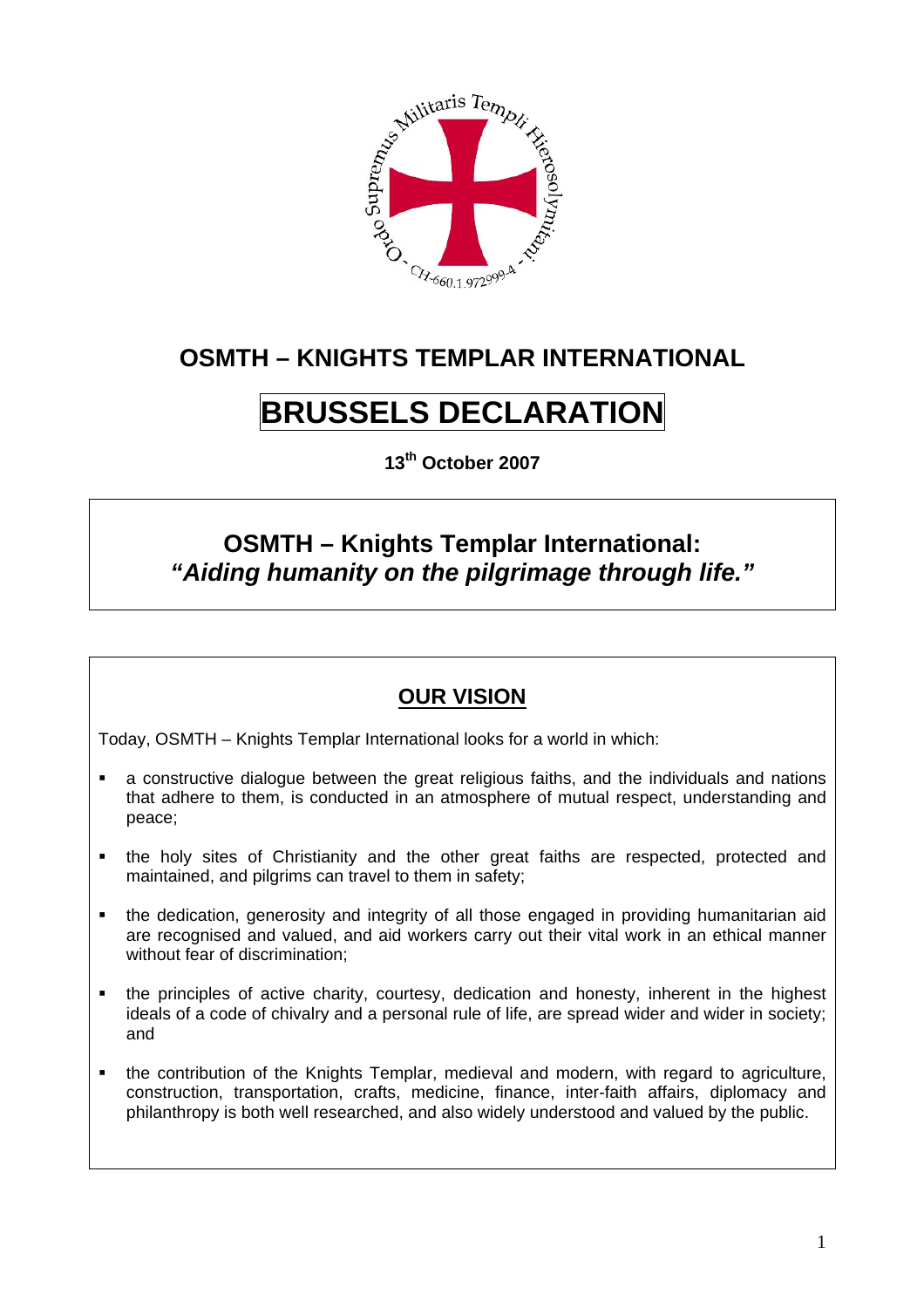

## **OSMTH – KNIGHTS TEMPLAR INTERNATIONAL**

# **BRUSSELS DECLARATION**

**13th October 2007** 

### **OSMTH – Knights Templar International:**  *"Aiding humanity on the pilgrimage through life."*

#### **OUR VISION**

Today, OSMTH – Knights Templar International looks for a world in which:

- a constructive dialogue between the great religious faiths, and the individuals and nations that adhere to them, is conducted in an atmosphere of mutual respect, understanding and peace;
- the holy sites of Christianity and the other great faiths are respected, protected and maintained, and pilgrims can travel to them in safety;
- the dedication, generosity and integrity of all those engaged in providing humanitarian aid are recognised and valued, and aid workers carry out their vital work in an ethical manner without fear of discrimination;
- the principles of active charity, courtesy, dedication and honesty, inherent in the highest ideals of a code of chivalry and a personal rule of life, are spread wider and wider in society; and
- the contribution of the Knights Templar, medieval and modern, with regard to agriculture, construction, transportation, crafts, medicine, finance, inter-faith affairs, diplomacy and philanthropy is both well researched, and also widely understood and valued by the public.